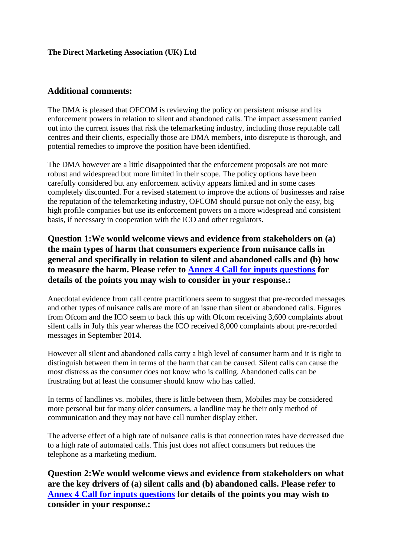## **Additional comments:**

The DMA is pleased that OFCOM is reviewing the policy on persistent misuse and its enforcement powers in relation to silent and abandoned calls. The impact assessment carried out into the current issues that risk the telemarketing industry, including those reputable call centres and their clients, especially those are DMA members, into disrepute is thorough, and potential remedies to improve the position have been identified.

The DMA however are a little disappointed that the enforcement proposals are not more robust and widespread but more limited in their scope. The policy options have been carefully considered but any enforcement activity appears limited and in some cases completely discounted. For a revised statement to improve the actions of businesses and raise the reputation of the telemarketing industry, OFCOM should pursue not only the easy, big high profile companies but use its enforcement powers on a more widespread and consistent basis, if necessary in cooperation with the ICO and other regulators.

**Question 1:We would welcome views and evidence from stakeholders on (a) the main types of harm that consumers experience from nuisance calls in general and specifically in relation to silent and abandoned calls and (b) how to measure the harm. Please refer to Annex 4 Call for inputs questions for details of the points you may wish to consider in your response.:**

Anecdotal evidence from call centre practitioners seem to suggest that pre-recorded messages and other types of nuisance calls are more of an issue than silent or abandoned calls. Figures from Ofcom and the ICO seem to back this up with Ofcom receiving 3,600 complaints about silent calls in July this year whereas the ICO received 8,000 complaints about pre-recorded messages in September 2014.

However all silent and abandoned calls carry a high level of consumer harm and it is right to distinguish between them in terms of the harm that can be caused. Silent calls can cause the most distress as the consumer does not know who is calling. Abandoned calls can be frustrating but at least the consumer should know who has called.

In terms of landlines vs. mobiles, there is little between them, Mobiles may be considered more personal but for many older consumers, a landline may be their only method of communication and they may not have call number display either.

The adverse effect of a high rate of nuisance calls is that connection rates have decreased due to a high rate of automated calls. This just does not affect consumers but reduces the telephone as a marketing medium.

**Question 2:We would welcome views and evidence from stakeholders on what are the key drivers of (a) silent calls and (b) abandoned calls. Please refer to Annex 4 Call for inputs questions for details of the points you may wish to consider in your response.:**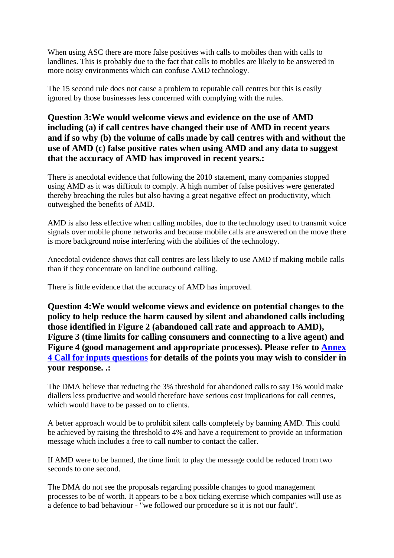When using ASC there are more false positives with calls to mobiles than with calls to landlines. This is probably due to the fact that calls to mobiles are likely to be answered in more noisy environments which can confuse AMD technology.

The 15 second rule does not cause a problem to reputable call centres but this is easily ignored by those businesses less concerned with complying with the rules.

## **Question 3:We would welcome views and evidence on the use of AMD including (a) if call centres have changed their use of AMD in recent years and if so why (b) the volume of calls made by call centres with and without the use of AMD (c) false positive rates when using AMD and any data to suggest that the accuracy of AMD has improved in recent years.:**

There is anecdotal evidence that following the 2010 statement, many companies stopped using AMD as it was difficult to comply. A high number of false positives were generated thereby breaching the rules but also having a great negative effect on productivity, which outweighed the benefits of AMD.

AMD is also less effective when calling mobiles, due to the technology used to transmit voice signals over mobile phone networks and because mobile calls are answered on the move there is more background noise interfering with the abilities of the technology.

Anecdotal evidence shows that call centres are less likely to use AMD if making mobile calls than if they concentrate on landline outbound calling.

There is little evidence that the accuracy of AMD has improved.

**Question 4:We would welcome views and evidence on potential changes to the policy to help reduce the harm caused by silent and abandoned calls including those identified in Figure 2 (abandoned call rate and approach to AMD), Figure 3 (time limits for calling consumers and connecting to a live agent) and Figure 4 (good management and appropriate processes). Please refer to Annex 4 Call for inputs questions for details of the points you may wish to consider in your response. .:**

The DMA believe that reducing the 3% threshold for abandoned calls to say 1% would make diallers less productive and would therefore have serious cost implications for call centres, which would have to be passed on to clients.

A better approach would be to prohibit silent calls completely by banning AMD. This could be achieved by raising the threshold to 4% and have a requirement to provide an information message which includes a free to call number to contact the caller.

If AMD were to be banned, the time limit to play the message could be reduced from two seconds to one second.

The DMA do not see the proposals regarding possible changes to good management processes to be of worth. It appears to be a box ticking exercise which companies will use as a defence to bad behaviour - "we followed our procedure so it is not our fault".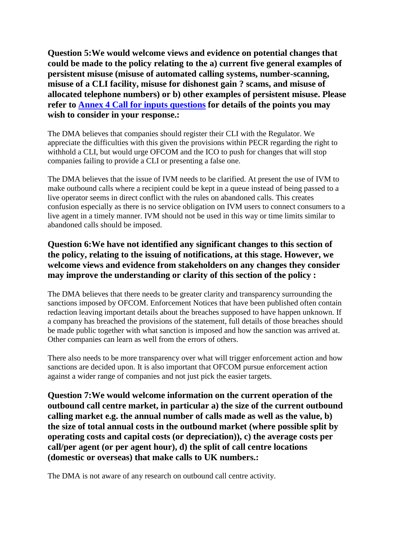**Question 5:We would welcome views and evidence on potential changes that could be made to the policy relating to the a) current five general examples of persistent misuse (misuse of automated calling systems, number-scanning, misuse of a CLI facility, misuse for dishonest gain ? scams, and misuse of allocated telephone numbers) or b) other examples of persistent misuse. Please refer to Annex 4 Call for inputs questions for details of the points you may wish to consider in your response.:**

The DMA believes that companies should register their CLI with the Regulator. We appreciate the difficulties with this given the provisions within PECR regarding the right to withhold a CLI, but would urge OFCOM and the ICO to push for changes that will stop companies failing to provide a CLI or presenting a false one.

The DMA believes that the issue of IVM needs to be clarified. At present the use of IVM to make outbound calls where a recipient could be kept in a queue instead of being passed to a live operator seems in direct conflict with the rules on abandoned calls. This creates confusion especially as there is no service obligation on IVM users to connect consumers to a live agent in a timely manner. IVM should not be used in this way or time limits similar to abandoned calls should be imposed.

## **Question 6:We have not identified any significant changes to this section of the policy, relating to the issuing of notifications, at this stage. However, we welcome views and evidence from stakeholders on any changes they consider may improve the understanding or clarity of this section of the policy :**

The DMA believes that there needs to be greater clarity and transparency surrounding the sanctions imposed by OFCOM. Enforcement Notices that have been published often contain redaction leaving important details about the breaches supposed to have happen unknown. If a company has breached the provisions of the statement, full details of those breaches should be made public together with what sanction is imposed and how the sanction was arrived at. Other companies can learn as well from the errors of others.

There also needs to be more transparency over what will trigger enforcement action and how sanctions are decided upon. It is also important that OFCOM pursue enforcement action against a wider range of companies and not just pick the easier targets.

**Question 7:We would welcome information on the current operation of the outbound call centre market, in particular a) the size of the current outbound calling market e.g. the annual number of calls made as well as the value, b) the size of total annual costs in the outbound market (where possible split by operating costs and capital costs (or depreciation)), c) the average costs per call/per agent (or per agent hour), d) the split of call centre locations (domestic or overseas) that make calls to UK numbers.:**

The DMA is not aware of any research on outbound call centre activity.